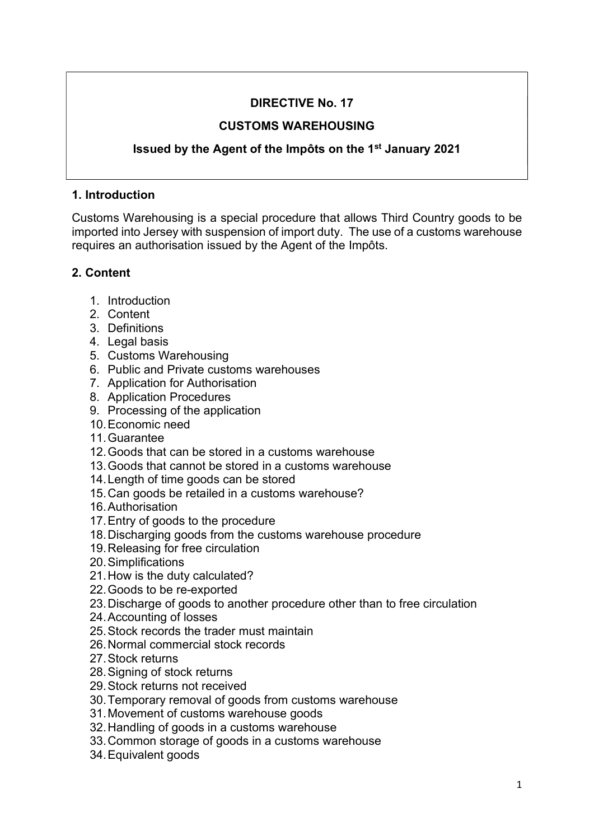# DIRECTIVE No. 17

## CUSTOMS WAREHOUSING

# Issued by the Agent of the Impôts on the 1st January 2021

#### 1. Introduction

Customs Warehousing is a special procedure that allows Third Country goods to be imported into Jersey with suspension of import duty. The use of a customs warehouse requires an authorisation issued by the Agent of the Impôts.

## 2. Content

- 1. Introduction
- 2. Content
- 3. Definitions
- 4. Legal basis
- 5. Customs Warehousing
- 6. Public and Private customs warehouses
- 7. Application for Authorisation
- 8. Application Procedures
- 9. Processing of the application
- 10. Economic need
- 11. Guarantee
- 12. Goods that can be stored in a customs warehouse
- 13. Goods that cannot be stored in a customs warehouse
- 14. Length of time goods can be stored
- 15. Can goods be retailed in a customs warehouse?
- 16. Authorisation
- 17. Entry of goods to the procedure
- 18. Discharging goods from the customs warehouse procedure
- 19. Releasing for free circulation
- 20. Simplifications
- 21. How is the duty calculated?
- 22. Goods to be re-exported
- 23. Discharge of goods to another procedure other than to free circulation
- 24. Accounting of losses
- 25. Stock records the trader must maintain
- 26. Normal commercial stock records
- 27. Stock returns
- 28. Signing of stock returns
- 29. Stock returns not received
- 30. Temporary removal of goods from customs warehouse
- 31. Movement of customs warehouse goods
- 32. Handling of goods in a customs warehouse
- 33. Common storage of goods in a customs warehouse
- 34. Equivalent goods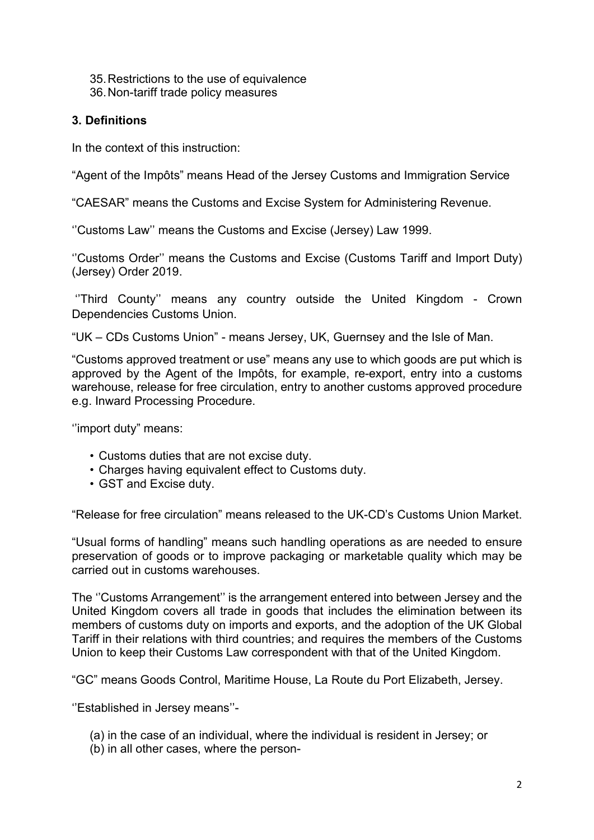35. Restrictions to the use of equivalence 36. Non-tariff trade policy measures

## 3. Definitions

In the context of this instruction:

"Agent of the Impôts" means Head of the Jersey Customs and Immigration Service

"CAESAR" means the Customs and Excise System for Administering Revenue.

''Customs Law'' means the Customs and Excise (Jersey) Law 1999.

''Customs Order'' means the Customs and Excise (Customs Tariff and Import Duty) (Jersey) Order 2019.

 ''Third County'' means any country outside the United Kingdom - Crown Dependencies Customs Union.

"UK – CDs Customs Union" - means Jersey, UK, Guernsey and the Isle of Man.

"Customs approved treatment or use" means any use to which goods are put which is approved by the Agent of the Impôts, for example, re-export, entry into a customs warehouse, release for free circulation, entry to another customs approved procedure e.g. Inward Processing Procedure.

''import duty" means:

- Customs duties that are not excise duty.
- Charges having equivalent effect to Customs duty.
- GST and Excise duty.

"Release for free circulation" means released to the UK-CD's Customs Union Market.

"Usual forms of handling" means such handling operations as are needed to ensure preservation of goods or to improve packaging or marketable quality which may be carried out in customs warehouses.

The ''Customs Arrangement'' is the arrangement entered into between Jersey and the United Kingdom covers all trade in goods that includes the elimination between its members of customs duty on imports and exports, and the adoption of the UK Global Tariff in their relations with third countries; and requires the members of the Customs Union to keep their Customs Law correspondent with that of the United Kingdom.

"GC" means Goods Control, Maritime House, La Route du Port Elizabeth, Jersey.

''Established in Jersey means''-

- (a) in the case of an individual, where the individual is resident in Jersey; or
- (b) in all other cases, where the person-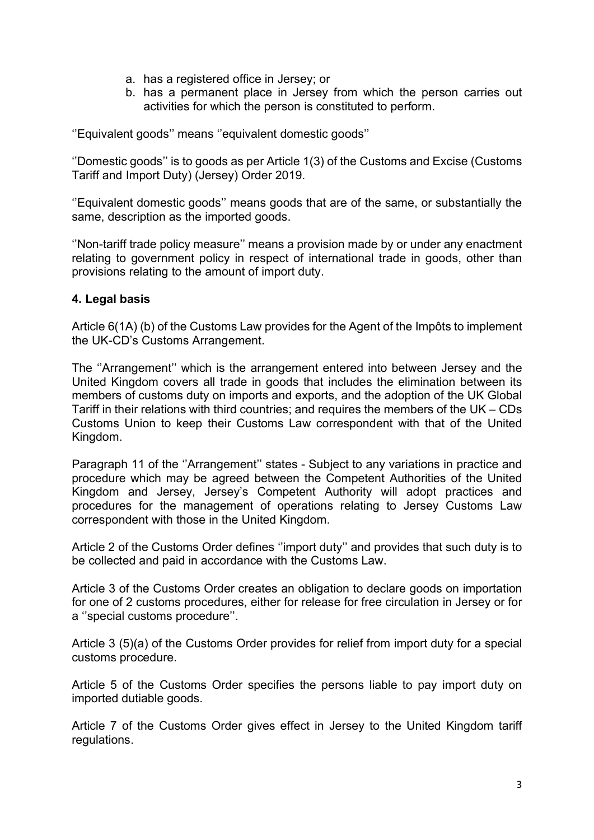- a. has a registered office in Jersey; or
- b. has a permanent place in Jersey from which the person carries out activities for which the person is constituted to perform.

''Equivalent goods'' means ''equivalent domestic goods''

''Domestic goods'' is to goods as per Article 1(3) of the Customs and Excise (Customs Tariff and Import Duty) (Jersey) Order 2019.

''Equivalent domestic goods'' means goods that are of the same, or substantially the same, description as the imported goods.

''Non-tariff trade policy measure'' means a provision made by or under any enactment relating to government policy in respect of international trade in goods, other than provisions relating to the amount of import duty.

#### 4. Legal basis

Article 6(1A) (b) of the Customs Law provides for the Agent of the Impôts to implement the UK-CD's Customs Arrangement.

The ''Arrangement'' which is the arrangement entered into between Jersey and the United Kingdom covers all trade in goods that includes the elimination between its members of customs duty on imports and exports, and the adoption of the UK Global Tariff in their relations with third countries; and requires the members of the UK – CDs Customs Union to keep their Customs Law correspondent with that of the United Kingdom.

Paragraph 11 of the ''Arrangement'' states - Subject to any variations in practice and procedure which may be agreed between the Competent Authorities of the United Kingdom and Jersey, Jersey's Competent Authority will adopt practices and procedures for the management of operations relating to Jersey Customs Law correspondent with those in the United Kingdom.

Article 2 of the Customs Order defines ''import duty'' and provides that such duty is to be collected and paid in accordance with the Customs Law.

Article 3 of the Customs Order creates an obligation to declare goods on importation for one of 2 customs procedures, either for release for free circulation in Jersey or for a ''special customs procedure''.

Article 3 (5)(a) of the Customs Order provides for relief from import duty for a special customs procedure.

Article 5 of the Customs Order specifies the persons liable to pay import duty on imported dutiable goods.

Article 7 of the Customs Order gives effect in Jersey to the United Kingdom tariff regulations.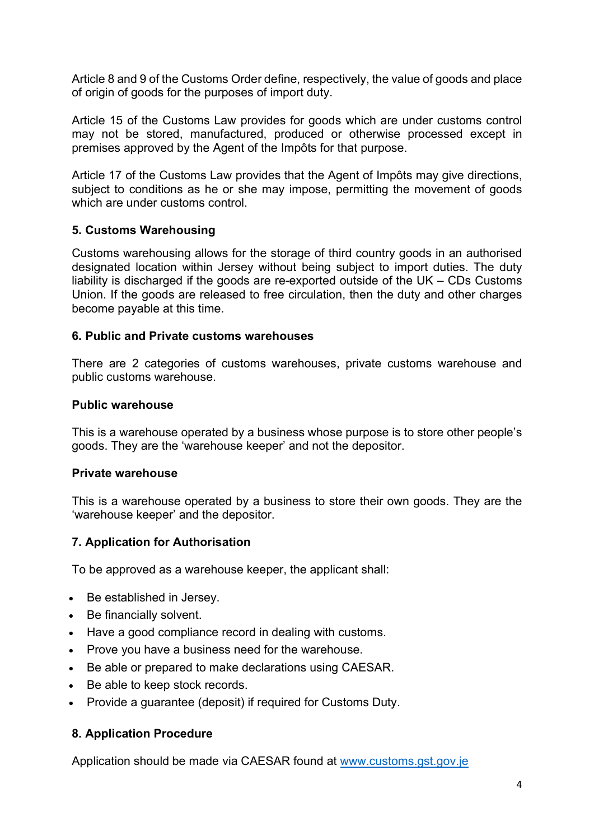Article 8 and 9 of the Customs Order define, respectively, the value of goods and place of origin of goods for the purposes of import duty.

Article 15 of the Customs Law provides for goods which are under customs control may not be stored, manufactured, produced or otherwise processed except in premises approved by the Agent of the Impôts for that purpose.

Article 17 of the Customs Law provides that the Agent of Impôts may give directions, subject to conditions as he or she may impose, permitting the movement of goods which are under customs control.

## 5. Customs Warehousing

Customs warehousing allows for the storage of third country goods in an authorised designated location within Jersey without being subject to import duties. The duty liability is discharged if the goods are re-exported outside of the UK – CDs Customs Union. If the goods are released to free circulation, then the duty and other charges become payable at this time.

#### 6. Public and Private customs warehouses

There are 2 categories of customs warehouses, private customs warehouse and public customs warehouse.

#### Public warehouse

This is a warehouse operated by a business whose purpose is to store other people's goods. They are the 'warehouse keeper' and not the depositor.

#### Private warehouse

This is a warehouse operated by a business to store their own goods. They are the 'warehouse keeper' and the depositor.

#### 7. Application for Authorisation

To be approved as a warehouse keeper, the applicant shall:

- Be established in Jersey.
- Be financially solvent.
- Have a good compliance record in dealing with customs.
- Prove you have a business need for the warehouse.
- Be able or prepared to make declarations using CAESAR.
- Be able to keep stock records.
- Provide a guarantee (deposit) if required for Customs Duty.

#### 8. Application Procedure

Application should be made via CAESAR found at www.customs.gst.gov.je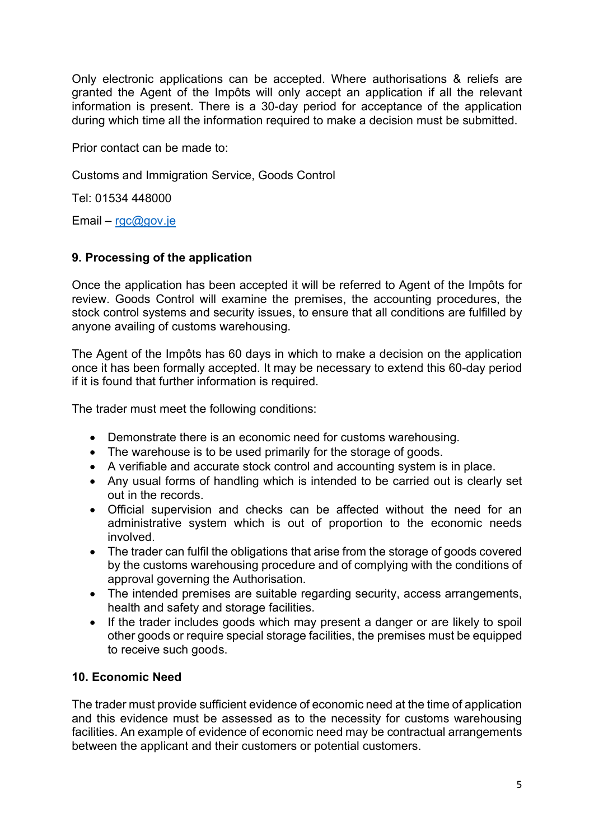Only electronic applications can be accepted. Where authorisations & reliefs are granted the Agent of the Impôts will only accept an application if all the relevant information is present. There is a 30-day period for acceptance of the application during which time all the information required to make a decision must be submitted.

Prior contact can be made to:

Customs and Immigration Service, Goods Control

Tel: 01534 448000

Email – rgc@gov.je

# 9. Processing of the application

Once the application has been accepted it will be referred to Agent of the Impôts for review. Goods Control will examine the premises, the accounting procedures, the stock control systems and security issues, to ensure that all conditions are fulfilled by anyone availing of customs warehousing.

The Agent of the Impôts has 60 days in which to make a decision on the application once it has been formally accepted. It may be necessary to extend this 60-day period if it is found that further information is required.

The trader must meet the following conditions:

- Demonstrate there is an economic need for customs warehousing.
- The warehouse is to be used primarily for the storage of goods.
- A verifiable and accurate stock control and accounting system is in place.
- Any usual forms of handling which is intended to be carried out is clearly set out in the records.
- Official supervision and checks can be affected without the need for an administrative system which is out of proportion to the economic needs involved.
- The trader can fulfil the obligations that arise from the storage of goods covered by the customs warehousing procedure and of complying with the conditions of approval governing the Authorisation.
- The intended premises are suitable regarding security, access arrangements, health and safety and storage facilities.
- If the trader includes goods which may present a danger or are likely to spoil other goods or require special storage facilities, the premises must be equipped to receive such goods.

## 10. Economic Need

The trader must provide sufficient evidence of economic need at the time of application and this evidence must be assessed as to the necessity for customs warehousing facilities. An example of evidence of economic need may be contractual arrangements between the applicant and their customers or potential customers.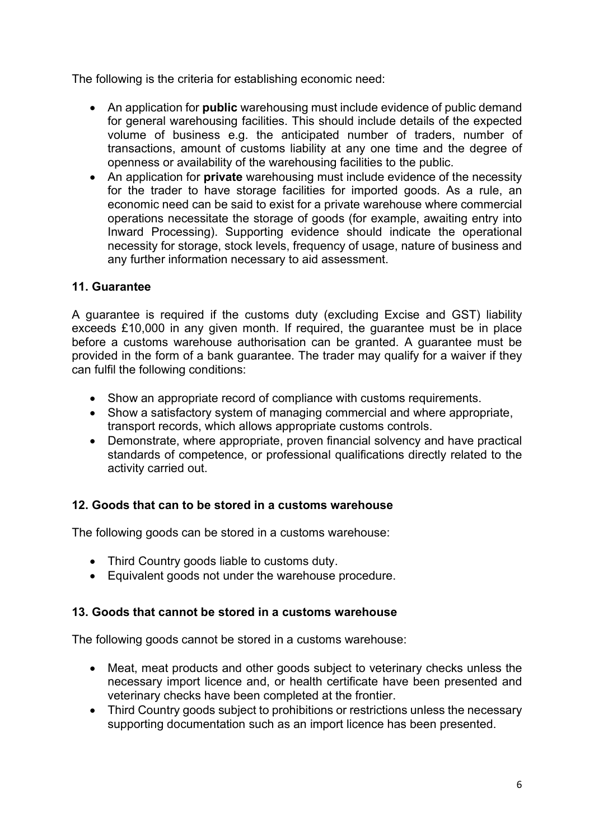The following is the criteria for establishing economic need:

- An application for **public** warehousing must include evidence of public demand for general warehousing facilities. This should include details of the expected volume of business e.g. the anticipated number of traders, number of transactions, amount of customs liability at any one time and the degree of openness or availability of the warehousing facilities to the public.
- An application for **private** warehousing must include evidence of the necessity for the trader to have storage facilities for imported goods. As a rule, an economic need can be said to exist for a private warehouse where commercial operations necessitate the storage of goods (for example, awaiting entry into Inward Processing). Supporting evidence should indicate the operational necessity for storage, stock levels, frequency of usage, nature of business and any further information necessary to aid assessment.

## 11. Guarantee

A guarantee is required if the customs duty (excluding Excise and GST) liability exceeds £10,000 in any given month. If required, the guarantee must be in place before a customs warehouse authorisation can be granted. A guarantee must be provided in the form of a bank guarantee. The trader may qualify for a waiver if they can fulfil the following conditions:

- Show an appropriate record of compliance with customs requirements.
- Show a satisfactory system of managing commercial and where appropriate, transport records, which allows appropriate customs controls.
- Demonstrate, where appropriate, proven financial solvency and have practical standards of competence, or professional qualifications directly related to the activity carried out.

## 12. Goods that can to be stored in a customs warehouse

The following goods can be stored in a customs warehouse:

- Third Country goods liable to customs duty.
- Equivalent goods not under the warehouse procedure.

#### 13. Goods that cannot be stored in a customs warehouse

The following goods cannot be stored in a customs warehouse:

- Meat, meat products and other goods subject to veterinary checks unless the necessary import licence and, or health certificate have been presented and veterinary checks have been completed at the frontier.
- Third Country goods subject to prohibitions or restrictions unless the necessary supporting documentation such as an import licence has been presented.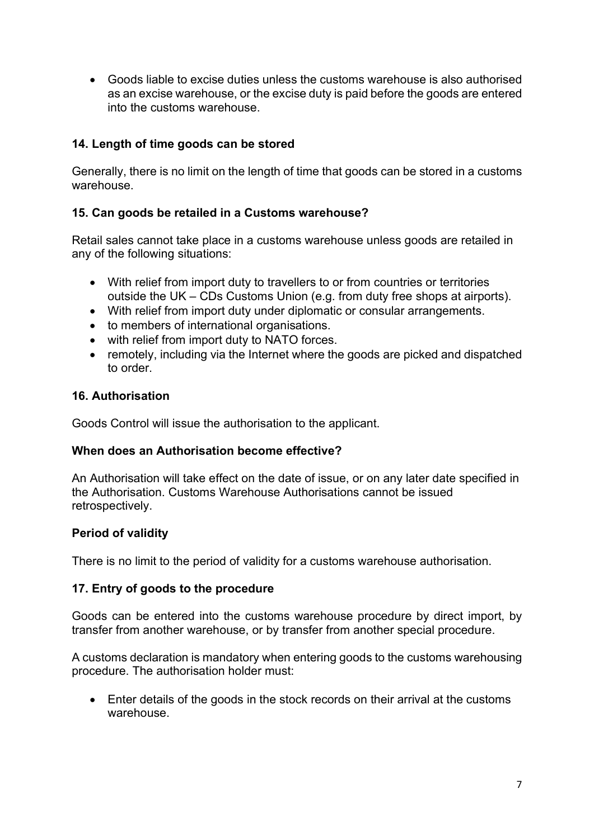Goods liable to excise duties unless the customs warehouse is also authorised as an excise warehouse, or the excise duty is paid before the goods are entered into the customs warehouse.

# 14. Length of time goods can be stored

Generally, there is no limit on the length of time that goods can be stored in a customs warehouse.

## 15. Can goods be retailed in a Customs warehouse?

Retail sales cannot take place in a customs warehouse unless goods are retailed in any of the following situations:

- With relief from import duty to travellers to or from countries or territories outside the UK – CDs Customs Union (e.g. from duty free shops at airports).
- With relief from import duty under diplomatic or consular arrangements.
- to members of international organisations.
- with relief from import duty to NATO forces.
- remotely, including via the Internet where the goods are picked and dispatched to order.

#### 16. Authorisation

Goods Control will issue the authorisation to the applicant.

#### When does an Authorisation become effective?

An Authorisation will take effect on the date of issue, or on any later date specified in the Authorisation. Customs Warehouse Authorisations cannot be issued retrospectively.

## Period of validity

There is no limit to the period of validity for a customs warehouse authorisation.

#### 17. Entry of goods to the procedure

Goods can be entered into the customs warehouse procedure by direct import, by transfer from another warehouse, or by transfer from another special procedure.

A customs declaration is mandatory when entering goods to the customs warehousing procedure. The authorisation holder must:

 Enter details of the goods in the stock records on their arrival at the customs warehouse.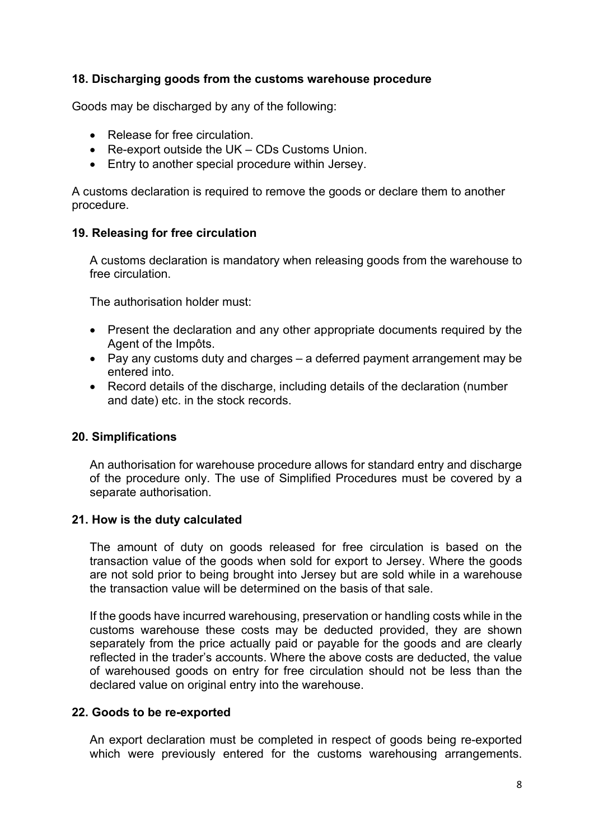### 18. Discharging goods from the customs warehouse procedure

Goods may be discharged by any of the following:

- Release for free circulation.
- Re-export outside the UK CDs Customs Union.
- Entry to another special procedure within Jersey.

A customs declaration is required to remove the goods or declare them to another procedure.

#### 19. Releasing for free circulation

A customs declaration is mandatory when releasing goods from the warehouse to free circulation.

The authorisation holder must:

- Present the declaration and any other appropriate documents required by the Agent of the Impôts.
- Pay any customs duty and charges a deferred payment arrangement may be entered into.
- Record details of the discharge, including details of the declaration (number and date) etc. in the stock records.

#### 20. Simplifications

An authorisation for warehouse procedure allows for standard entry and discharge of the procedure only. The use of Simplified Procedures must be covered by a separate authorisation.

#### 21. How is the duty calculated

The amount of duty on goods released for free circulation is based on the transaction value of the goods when sold for export to Jersey. Where the goods are not sold prior to being brought into Jersey but are sold while in a warehouse the transaction value will be determined on the basis of that sale.

If the goods have incurred warehousing, preservation or handling costs while in the customs warehouse these costs may be deducted provided, they are shown separately from the price actually paid or payable for the goods and are clearly reflected in the trader's accounts. Where the above costs are deducted, the value of warehoused goods on entry for free circulation should not be less than the declared value on original entry into the warehouse.

#### 22. Goods to be re-exported

An export declaration must be completed in respect of goods being re-exported which were previously entered for the customs warehousing arrangements.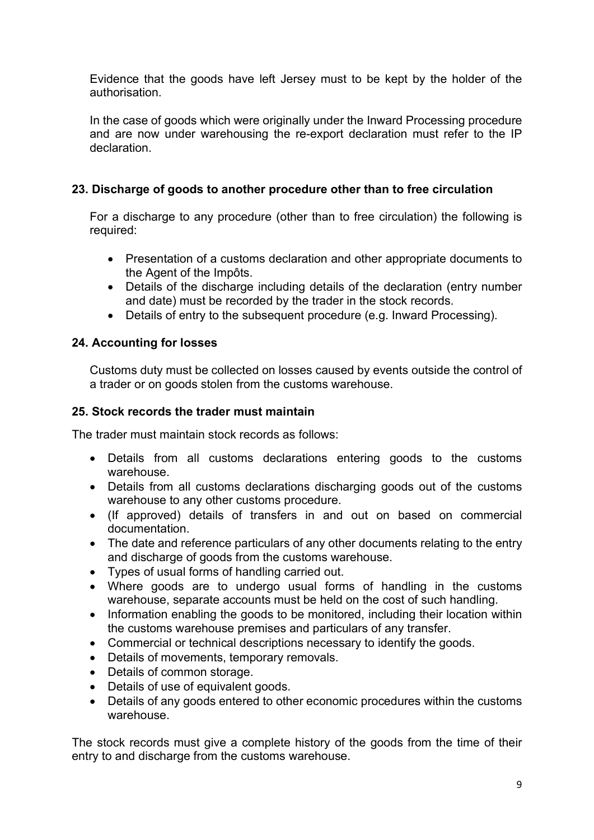Evidence that the goods have left Jersey must to be kept by the holder of the authorisation.

In the case of goods which were originally under the Inward Processing procedure and are now under warehousing the re-export declaration must refer to the IP declaration.

## 23. Discharge of goods to another procedure other than to free circulation

For a discharge to any procedure (other than to free circulation) the following is required:

- Presentation of a customs declaration and other appropriate documents to the Agent of the Impôts.
- Details of the discharge including details of the declaration (entry number and date) must be recorded by the trader in the stock records.
- Details of entry to the subsequent procedure (e.g. Inward Processing).

# 24. Accounting for losses

Customs duty must be collected on losses caused by events outside the control of a trader or on goods stolen from the customs warehouse.

### 25. Stock records the trader must maintain

The trader must maintain stock records as follows:

- Details from all customs declarations entering goods to the customs warehouse.
- Details from all customs declarations discharging goods out of the customs warehouse to any other customs procedure.
- (If approved) details of transfers in and out on based on commercial documentation.
- The date and reference particulars of any other documents relating to the entry and discharge of goods from the customs warehouse.
- Types of usual forms of handling carried out.
- Where goods are to undergo usual forms of handling in the customs warehouse, separate accounts must be held on the cost of such handling.
- Information enabling the goods to be monitored, including their location within the customs warehouse premises and particulars of any transfer.
- Commercial or technical descriptions necessary to identify the goods.
- Details of movements, temporary removals.
- Details of common storage.
- Details of use of equivalent goods.
- Details of any goods entered to other economic procedures within the customs warehouse.

The stock records must give a complete history of the goods from the time of their entry to and discharge from the customs warehouse.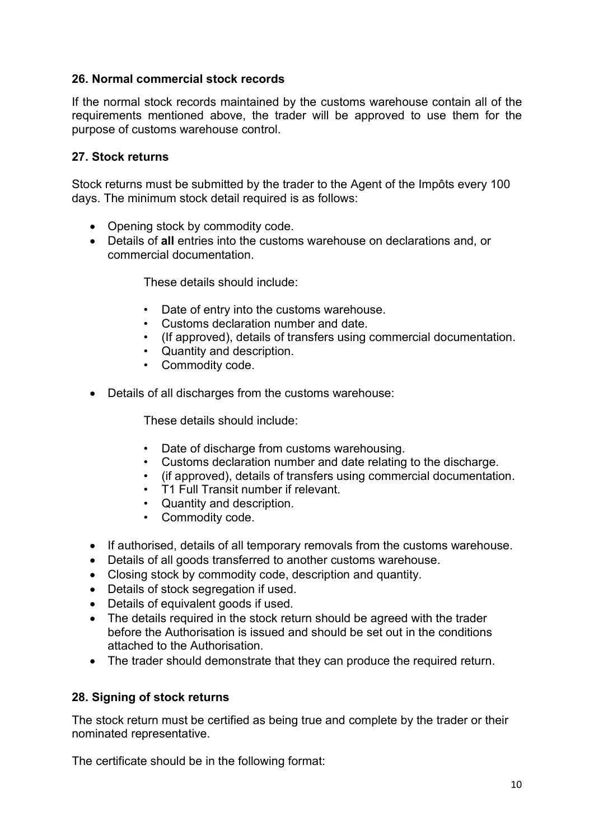### 26. Normal commercial stock records

If the normal stock records maintained by the customs warehouse contain all of the requirements mentioned above, the trader will be approved to use them for the purpose of customs warehouse control.

#### 27. Stock returns

Stock returns must be submitted by the trader to the Agent of the Impôts every 100 days. The minimum stock detail required is as follows:

- Opening stock by commodity code.
- Details of all entries into the customs warehouse on declarations and, or commercial documentation.

These details should include:

- Date of entry into the customs warehouse.
- Customs declaration number and date.
- (If approved), details of transfers using commercial documentation.
- Quantity and description.
- Commodity code.
- Details of all discharges from the customs warehouse:

These details should include:

- Date of discharge from customs warehousing.
- Customs declaration number and date relating to the discharge.
- (if approved), details of transfers using commercial documentation.
- T1 Full Transit number if relevant.
- Quantity and description.
- Commodity code.
- If authorised, details of all temporary removals from the customs warehouse.
- Details of all goods transferred to another customs warehouse.
- Closing stock by commodity code, description and quantity.
- Details of stock segregation if used.
- Details of equivalent goods if used.
- The details required in the stock return should be agreed with the trader before the Authorisation is issued and should be set out in the conditions attached to the Authorisation.
- The trader should demonstrate that they can produce the required return.

#### 28. Signing of stock returns

The stock return must be certified as being true and complete by the trader or their nominated representative.

The certificate should be in the following format: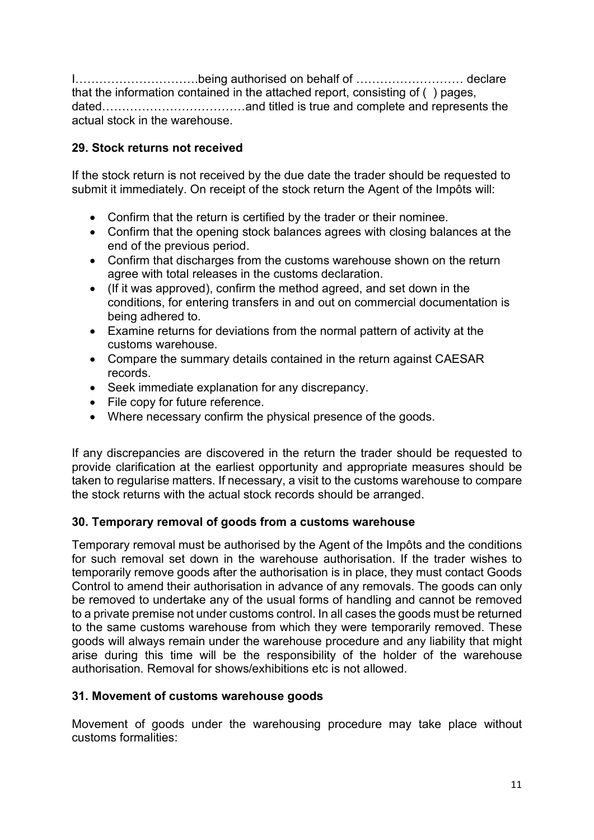I………………………….being authorised on behalf of ……………………… declare that the information contained in the attached report, consisting of ( ) pages, dated………………………………and titled is true and complete and represents the actual stock in the warehouse.

## 29. Stock returns not received

If the stock return is not received by the due date the trader should be requested to submit it immediately. On receipt of the stock return the Agent of the Impôts will:

- Confirm that the return is certified by the trader or their nominee.
- Confirm that the opening stock balances agrees with closing balances at the end of the previous period.
- Confirm that discharges from the customs warehouse shown on the return agree with total releases in the customs declaration.
- (If it was approved), confirm the method agreed, and set down in the conditions, for entering transfers in and out on commercial documentation is being adhered to.
- Examine returns for deviations from the normal pattern of activity at the customs warehouse.
- Compare the summary details contained in the return against CAESAR records.
- Seek immediate explanation for any discrepancy.
- File copy for future reference.
- Where necessary confirm the physical presence of the goods.

If any discrepancies are discovered in the return the trader should be requested to provide clarification at the earliest opportunity and appropriate measures should be taken to regularise matters. If necessary, a visit to the customs warehouse to compare the stock returns with the actual stock records should be arranged.

## 30. Temporary removal of goods from a customs warehouse

Temporary removal must be authorised by the Agent of the Impôts and the conditions for such removal set down in the warehouse authorisation. If the trader wishes to temporarily remove goods after the authorisation is in place, they must contact Goods Control to amend their authorisation in advance of any removals. The goods can only be removed to undertake any of the usual forms of handling and cannot be removed to a private premise not under customs control. In all cases the goods must be returned to the same customs warehouse from which they were temporarily removed. These goods will always remain under the warehouse procedure and any liability that might arise during this time will be the responsibility of the holder of the warehouse authorisation. Removal for shows/exhibitions etc is not allowed.

## 31. Movement of customs warehouse goods

Movement of goods under the warehousing procedure may take place without customs formalities: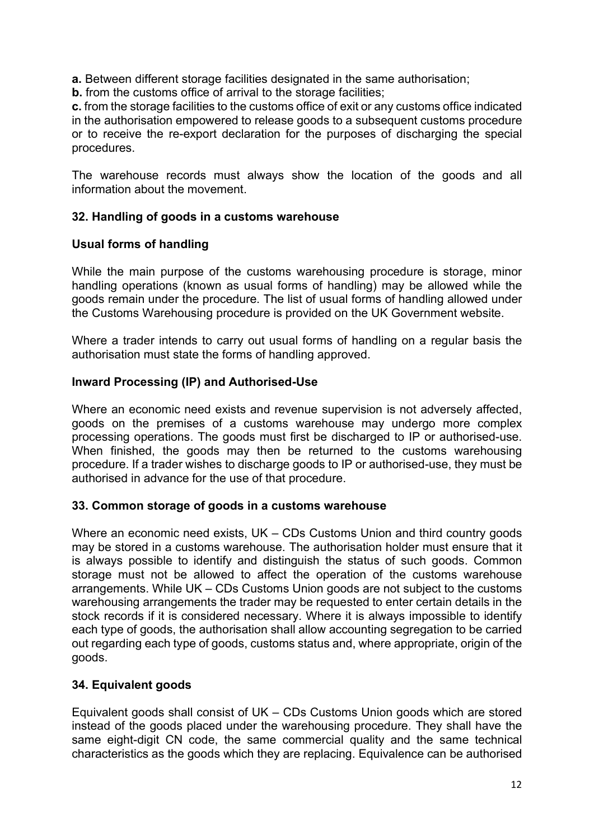a. Between different storage facilities designated in the same authorisation;

**b.** from the customs office of arrival to the storage facilities;

c. from the storage facilities to the customs office of exit or any customs office indicated in the authorisation empowered to release goods to a subsequent customs procedure or to receive the re-export declaration for the purposes of discharging the special procedures.

The warehouse records must always show the location of the goods and all information about the movement.

### 32. Handling of goods in a customs warehouse

### Usual forms of handling

While the main purpose of the customs warehousing procedure is storage, minor handling operations (known as usual forms of handling) may be allowed while the goods remain under the procedure. The list of usual forms of handling allowed under the Customs Warehousing procedure is provided on the UK Government website.

Where a trader intends to carry out usual forms of handling on a regular basis the authorisation must state the forms of handling approved.

### Inward Processing (IP) and Authorised-Use

Where an economic need exists and revenue supervision is not adversely affected, goods on the premises of a customs warehouse may undergo more complex processing operations. The goods must first be discharged to IP or authorised-use. When finished, the goods may then be returned to the customs warehousing procedure. If a trader wishes to discharge goods to IP or authorised-use, they must be authorised in advance for the use of that procedure.

#### 33. Common storage of goods in a customs warehouse

Where an economic need exists, UK – CDs Customs Union and third country goods may be stored in a customs warehouse. The authorisation holder must ensure that it is always possible to identify and distinguish the status of such goods. Common storage must not be allowed to affect the operation of the customs warehouse arrangements. While UK – CDs Customs Union goods are not subject to the customs warehousing arrangements the trader may be requested to enter certain details in the stock records if it is considered necessary. Where it is always impossible to identify each type of goods, the authorisation shall allow accounting segregation to be carried out regarding each type of goods, customs status and, where appropriate, origin of the goods.

## 34. Equivalent goods

Equivalent goods shall consist of UK – CDs Customs Union goods which are stored instead of the goods placed under the warehousing procedure. They shall have the same eight-digit CN code, the same commercial quality and the same technical characteristics as the goods which they are replacing. Equivalence can be authorised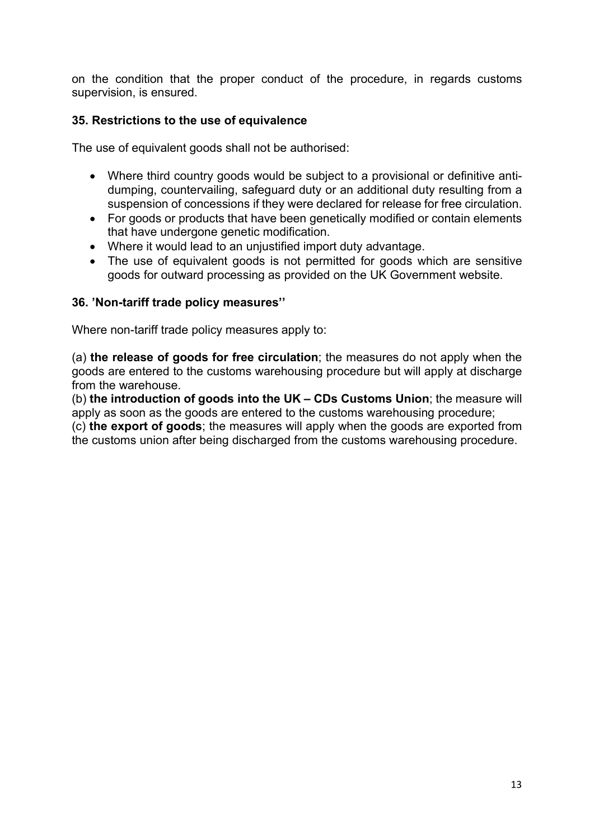on the condition that the proper conduct of the procedure, in regards customs supervision, is ensured.

### 35. Restrictions to the use of equivalence

The use of equivalent goods shall not be authorised:

- Where third country goods would be subject to a provisional or definitive antidumping, countervailing, safeguard duty or an additional duty resulting from a suspension of concessions if they were declared for release for free circulation.
- For goods or products that have been genetically modified or contain elements that have undergone genetic modification.
- Where it would lead to an unjustified import duty advantage.
- The use of equivalent goods is not permitted for goods which are sensitive goods for outward processing as provided on the UK Government website.

#### 36. 'Non-tariff trade policy measures''

Where non-tariff trade policy measures apply to:

(a) the release of goods for free circulation; the measures do not apply when the goods are entered to the customs warehousing procedure but will apply at discharge from the warehouse.

(b) the introduction of goods into the UK – CDs Customs Union; the measure will apply as soon as the goods are entered to the customs warehousing procedure;

(c) the export of goods; the measures will apply when the goods are exported from the customs union after being discharged from the customs warehousing procedure.